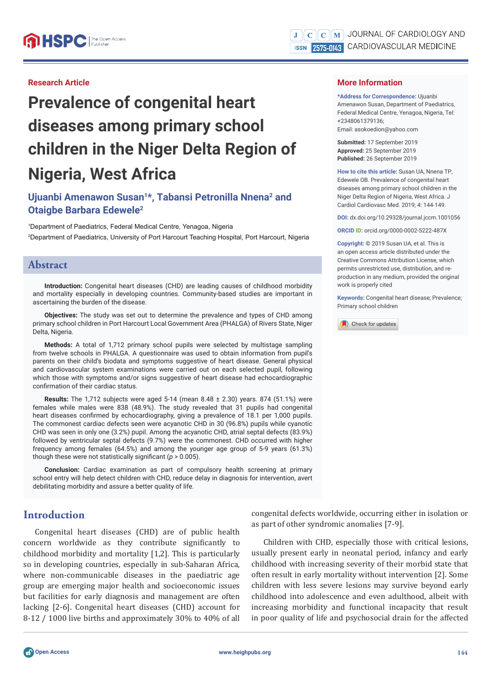#### **Research Article**

# **Prevalence of congenital heart diseases among primary school children in the Niger Delta Region of Nigeria, West Africa**

## **Ujuanbi Amenawon Susan1\*, Tabansi Petronilla Nnena2 and Otaigbe Barbara Edewele2**

1 Department of Paediatrics, Federal Medical Centre, Yenagoa, Nigeria 2 Department of Paediatrics, University of Port Harcourt Teaching Hospital, Port Harcourt, Nigeria

#### **Abstract**

**Introduction:** Congenital heart diseases (CHD) are leading causes of childhood morbidity and mortality especially in developing countries. Community-based studies are important in ascertaining the burden of the disease.

**Objectives:** The study was set out to determine the prevalence and types of CHD among primary school children in Port Harcourt Local Government Area (PHALGA) of Rivers State, Niger Delta, Nigeria.

**Methods:** A total of 1,712 primary school pupils were selected by multistage sampling from twelve schools in PHALGA. A questionnaire was used to obtain information from pupil's parents on their child's biodata and symptoms suggestive of heart disease. General physical and cardiovascular system examinations were carried out on each selected pupil, following which those with symptoms and/or signs suggestive of heart disease had echocardiographic confirmation of their cardiac status.

**Results:** The 1,712 subjects were aged 5-14 (mean 8.48 ± 2.30) years. 874 (51.1%) were females while males were 838 (48.9%). The study revealed that 31 pupils had congenital heart diseases confirmed by echocardiography, giving a prevalence of 18.1 per 1,000 pupils. The commonest cardiac defects seen were acyanotic CHD in 30 (96.8%) pupils while cyanotic CHD was seen in only one (3.2%) pupil. Among the acyanotic CHD, atrial septal defects (83.9%) followed by ventricular septal defects (9.7%) were the commonest. CHD occurred with higher frequency among females (64.5%) and among the younger age group of 5-9 years (61.3%) though these were not statistically significant ( $p > 0.005$ ).

**Conclusion:** Cardiac examination as part of compulsory health screening at primary school entry will help detect children with CHD, reduce delay in diagnosis for intervention, avert debilitating morbidity and assure a better quality of life.

## **Introduction**

Congenital heart diseases (CHD) are of public health concern worldwide as they contribute significantly to childhood morbidity and mortality [1,2]. This is particularly so in developing countries, especially in sub-Saharan Africa, where non-communicable diseases in the paediatric age group are emerging major health and socioeconomic issues but facilities for early diagnosis and management are often lacking [2-6]. Congenital heart diseases (CHD) account for 8-12 / 1000 live births and approximately 30% to 40% of all **More Information** 

**\*Address for Correspondence:** Ujuanbi Amenawon Susan, Department of Paediatrics, Federal Medical Centre, Yenagoa, Nigeria, Tel: +2348061379136; Email: asokoedion@yahoo.com

**Submitted:** 17 September 2019 **Approved:** 25 September 2019 **Published:** 26 September 2019

**How to cite this article:** Susan UA, Nnena TP, Edewele OB. Prevalence of congenital heart diseases among primary school children in the Niger Delta Region of Nigeria, West Africa. J Cardiol Cardiovasc Med. 2019; 4: 144-149.

**DOI:** dx.doi.org/10.29328/journal.jccm.1001056

**ORCID ID:** orcid.org/0000-0002-5222-487X

**Copyright: ©** 2019 Susan UA, et al. This is an open access article distributed under the Creative Commons Attribution License, which permits unrestricted use, distribution, and reproduction in any medium, provided the original work is properly cited

**Keywords:** Congenital heart disease; Prevalence; Primary school children



congenital defects worldwide, occurring either in isolation or as part of other syndromic anomalies [7-9].

Children with CHD, especially those with critical lesions, usually present early in neonatal period, infancy and early childhood with increasing severity of their morbid state that often result in early mortality without intervention [2]. Some children with less severe lesions may survive beyond early childhood into adolescence and even adulthood, albeit with increasing morbidity and functional incapacity that result in poor quality of life and psychosocial drain for the affected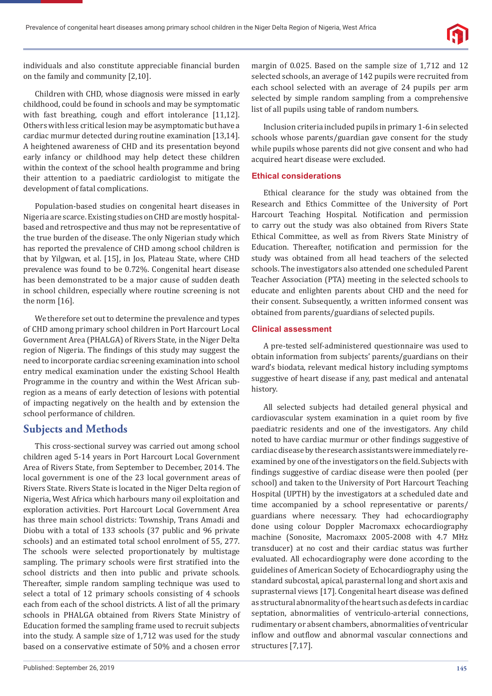individuals and also constitute appreciable financial burden on the family and community [2,10].

Children with CHD, whose diagnosis were missed in early childhood, could be found in schools and may be symptomatic with fast breathing, cough and effort intolerance [11,12]. Others with less critical lesion may be asymptomatic but have a cardiac murmur detected during routine examination [13,14]. A heightened awareness of CHD and its presentation beyond early infancy or childhood may help detect these children within the context of the school health programme and bring their attention to a paediatric cardiologist to mitigate the development of fatal complications.

Population-based studies on congenital heart diseases in Nigeria are scarce. Existing studies on CHD are mostly hospitalbased and retrospective and thus may not be representative of the true burden of the disease. The only Nigerian study which has reported the prevalence of CHD among school children is that by Yilgwan, et al. [15], in Jos, Plateau State, where CHD prevalence was found to be 0.72%. Congenital heart disease has been demonstrated to be a major cause of sudden death in school children, especially where routine screening is not the norm [16].

We therefore set out to determine the prevalence and types of CHD among primary school children in Port Harcourt Local Government Area (PHALGA) of Rivers State, in the Niger Delta region of Nigeria. The findings of this study may suggest the need to incorporate cardiac screening examination into school entry medical examination under the existing School Health Programme in the country and within the West African subregion as a means of early detection of lesions with potential of impacting negatively on the health and by extension the school performance of children.

## **Subjects and Methods**

This cross-sectional survey was carried out among school children aged 5-14 years in Port Harcourt Local Government Area of Rivers State, from September to December, 2014. The local government is one of the 23 local government areas of Rivers State. Rivers State is located in the Niger Delta region of Nigeria, West Africa which harbours many oil exploitation and exploration activities. Port Harcourt Local Government Area has three main school districts: Township, Trans Amadi and Diobu with a total of 133 schools (37 public and 96 private schools) and an estimated total school enrolment of 55, 277. The schools were selected proportionately by multistage sampling. The primary schools were first stratified into the school districts and then into public and private schools. Thereafter, simple random sampling technique was used to select a total of 12 primary schools consisting of 4 schools each from each of the school districts. A list of all the primary schools in PHALGA obtained from Rivers State Ministry of Education formed the sampling frame used to recruit subjects into the study. A sample size of 1,712 was used for the study based on a conservative estimate of 50% and a chosen error

Inclusion criteria included pupils in primary 1-6 in selected schools whose parents/guardian gave consent for the study while pupils whose parents did not give consent and who had acquired heart disease were excluded.

## **Ethical considerations**

Ethical clearance for the study was obtained from the Research and Ethics Committee of the University of Port Harcourt Teaching Hospital. Notification and permission to carry out the study was also obtained from Rivers State Ethical Committee, as well as from Rivers State Ministry of Education. Thereafter, notification and permission for the study was obtained from all head teachers of the selected schools. The investigators also attended one scheduled Parent Teacher Association (PTA) meeting in the selected schools to educate and enlighten parents about CHD and the need for their consent. Subsequently, a written informed consent was obtained from parents/guardians of selected pupils.

## **Clinical assessment**

A pre-tested self-administered questionnaire was used to obtain information from subjects' parents/guardians on their ward's biodata, relevant medical history including symptoms suggestive of heart disease if any, past medical and antenatal history.

All selected subjects had detailed general physical and cardiovascular system examination in a quiet room by five paediatric residents and one of the investigators. Any child noted to have cardiac murmur or other findings suggestive of cardiac disease by the research assistants were immediately reexamined by one of the investigators on the field. Subjects with findings suggestive of cardiac disease were then pooled (per school) and taken to the University of Port Harcourt Teaching Hospital (UPTH) by the investigators at a scheduled date and time accompanied by a school representative or parents/ guardians where necessary. They had echocardiography done using colour Doppler Macromaxx echocardiography machine (Sonosite, Macromaxx 2005-2008 with 4.7 MHz transducer) at no cost and their cardiac status was further evaluated. All echocardiography were done according to the guidelines of American Society of Echocardiography using the standard subcostal, apical, parasternal long and short axis and suprasternal views [17]. Congenital heart disease was defined as structural abnormality of the heart such as defects in cardiac septation, abnormalities of ventriculo-arterial connections, rudimentary or absent chambers, abnormalities of ventricular inflow and outflow and abnormal vascular connections and structures [7,17].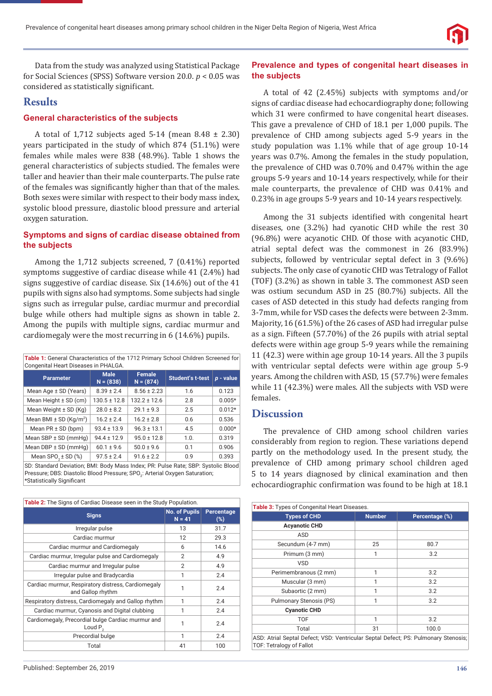

Data from the study was analyzed using Statistical Package for Social Sciences (SPSS) Software version 20.0. *p* < 0.05 was considered as statistically significant.

## **Results**

#### **General characteristics of the subjects**

A total of 1,712 subjects aged  $5-14$  (mean  $8.48 \pm 2.30$ ) years participated in the study of which 874 (51.1%) were females while males were 838 (48.9%). Table 1 shows the general characteristics of subjects studied. The females were taller and heavier than their male counterparts. The pulse rate of the females was significantly higher than that of the males. Both sexes were similar with respect to their body mass index, systolic blood pressure, diastolic blood pressure and arterial oxygen saturation.

### **Symptoms and signs of cardiac disease obtained from the subjects**

Among the 1,712 subjects screened, 7 (0.41%) reported symptoms suggestive of cardiac disease while 41 (2.4%) had signs suggestive of cardiac disease. Six (14.6%) out of the 41 pupils with signs also had symptoms. Some subjects had single signs such as irregular pulse, cardiac murmur and precordial bulge while others had multiple signs as shown in table 2. Among the pupils with multiple signs, cardiac murmur and cardiomegaly were the most recurring in 6 (14.6%) pupils.

**Table 1:** General Characteristics of the 1712 Primary School Children Screened for

| Congenital Heart Diseases in PHALGA.                                              |                            |                              |                         |           |  |
|-----------------------------------------------------------------------------------|----------------------------|------------------------------|-------------------------|-----------|--|
| <b>Parameter</b>                                                                  | <b>Male</b><br>$N = (838)$ | <b>Female</b><br>$N = (874)$ | <b>Student's t-test</b> | p - value |  |
| Mean Age $\pm$ SD (Years)                                                         | $8.39 \pm 2.4$             | $8.56 \pm 2.23$              | 1.6                     | 0.123     |  |
| Mean Height ± SD (cm)                                                             | $130.5 \pm 12.8$           | $132.2 \pm 12.6$             | 2.8                     | $0.005*$  |  |
| Mean Weight $\pm$ SD (Kg)                                                         | $28.0 \pm 8.2$             | $29.1 \pm 9.3$               | 2.5                     | $0.012*$  |  |
| Mean BMI $\pm$ SD (Kg/m <sup>2</sup> )                                            | $16.2 \pm 2.4$             | $16.2 \pm 2.8$               | 0.6                     | 0.536     |  |
| Mean $PR \pm SD$ (bpm)                                                            | $93.4 \pm 13.9$            | $96.3 \pm 13.1$              | 4.5                     | $0.000*$  |  |
| Mean $SBP \pm SD$ (mmHg)                                                          | $94.4 \pm 12.9$            | $95.0 \pm 12.8$              | 1.0.                    | 0.319     |  |
| Mean DBP $\pm$ SD (mmHg)                                                          | $60.1 \pm 9.6$             | $50.0 \pm 9.6$               | 0.1                     | 0.906     |  |
| Mean $SPO2 \pm SD$ (%)                                                            | $97.5 \pm 2.4$             | $91.6 \pm 2.2$               | 0.9                     | 0.393     |  |
| SD: Standard Deviation; BMI: Body Mass Index; PR: Pulse Rate; SBP: Systolic Blood |                            |                              |                         |           |  |

Pressure; DBS: Diastolic Blood Pressure; SPO<sub>2</sub>: Arterial Oxygen Saturation; \*Statistically Significant

| Table 2: The Signs of Cardiac Disease seen in the Study Population.     |                           |                      |  |  |  |
|-------------------------------------------------------------------------|---------------------------|----------------------|--|--|--|
| <b>Signs</b>                                                            | No. of Pupils<br>$N = 41$ | Percentage<br>$(\%)$ |  |  |  |
| Irregular pulse                                                         | 13                        | 31.7                 |  |  |  |
| Cardiac murmur                                                          | 12                        | 29.3                 |  |  |  |
| Cardiac murmur and Cardiomegaly                                         | 6                         | 14.6                 |  |  |  |
| Cardiac murmur, Irregular pulse and Cardiomegaly                        | $\overline{2}$            | 4.9                  |  |  |  |
| Cardiac murmur and Irregular pulse                                      | $\overline{2}$            | 4.9                  |  |  |  |
| Irregular pulse and Bradycardia                                         | 1                         | 2.4                  |  |  |  |
| Cardiac murmur, Respiratory distress, Cardiomegaly<br>and Gallop rhythm | 1                         | 2.4                  |  |  |  |
| Respiratory distress, Cardiomegaly and Gallop rhythm                    | 1                         | 2.4                  |  |  |  |
| Cardiac murmur, Cyanosis and Digital clubbing                           | 1                         | 2.4                  |  |  |  |
| Cardiomegaly, Precordial bulge Cardiac murmur and<br>Loud $P_{\alpha}$  | 1                         | 2.4                  |  |  |  |
| Precordial bulge                                                        | 1                         | 2.4                  |  |  |  |
| Total                                                                   | 41                        | 100                  |  |  |  |

## **Prevalence and types of congenital heart diseases in the subjects**

A total of 42 (2.45%) subjects with symptoms and/or signs of cardiac disease had echocardiography done; following which 31 were confirmed to have congenital heart diseases. This gave a prevalence of CHD of 18.1 per 1,000 pupils. The prevalence of CHD among subjects aged 5-9 years in the study population was 1.1% while that of age group 10-14 years was 0.7%. Among the females in the study population, the prevalence of CHD was 0.70% and 0.47% within the age groups 5-9 years and 10-14 years respectively, while for their male counterparts, the prevalence of CHD was 0.41% and 0.23% in age groups 5-9 years and 10-14 years respectively.

Among the 31 subjects identified with congenital heart diseases, one (3.2%) had cyanotic CHD while the rest 30 (96.8%) were acyanotic CHD. Of those with acyanotic CHD, atrial septal defect was the commonest in 26 (83.9%) subjects, followed by ventricular septal defect in 3 (9.6%) subjects. The only case of cyanotic CHD was Tetralogy of Fallot (TOF) (3.2%) as shown in table 3. The commonest ASD seen was ostium secundum ASD in 25 (80.7%) subjects. All the cases of ASD detected in this study had defects ranging from 3-7mm, while for VSD cases the defects were between 2-3mm. Majority, 16 (61.5%) of the 26 cases of ASD had irregular pulse as a sign. Fifteen (57.70%) of the 26 pupils with atrial septal defects were within age group 5-9 years while the remaining 11 (42.3) were within age group 10-14 years. All the 3 pupils with ventricular septal defects were within age group 5-9 years. Among the children with ASD, 15 (57.7%) were females while 11 (42.3%) were males. All the subjects with VSD were females.

## **Discussion**

The prevalence of CHD among school children varies considerably from region to region. These variations depend partly on the methodology used. In the present study, the prevalence of CHD among primary school children aged 5 to 14 years diagnosed by clinical examination and then echocardiographic confirmation was found to be high at 18.1

| Table 3: Types of Congenital Heart Diseases.                                                                          |               |                |  |  |
|-----------------------------------------------------------------------------------------------------------------------|---------------|----------------|--|--|
| <b>Types of CHD</b>                                                                                                   | <b>Number</b> | Percentage (%) |  |  |
| <b>Acyanotic CHD</b>                                                                                                  |               |                |  |  |
| ASD                                                                                                                   |               |                |  |  |
| Secundum (4-7 mm)                                                                                                     | 25            | 80.7           |  |  |
| Primum (3 mm)                                                                                                         | 1             | 3.2            |  |  |
| <b>VSD</b>                                                                                                            |               |                |  |  |
| Perimembranous (2 mm)                                                                                                 | 1             | 3.2            |  |  |
| Muscular (3 mm)                                                                                                       | 1             | 3.2            |  |  |
| Subaortic (2 mm)                                                                                                      |               | 3.2            |  |  |
| Pulmonary Stenosis (PS)                                                                                               | 1             | 3.2            |  |  |
| <b>Cyanotic CHD</b>                                                                                                   |               |                |  |  |
| <b>TOF</b>                                                                                                            | 1             | 3.2            |  |  |
| Total                                                                                                                 | 31            | 100.0          |  |  |
| ASD: Atrial Septal Defect; VSD: Ventricular Septal Defect; PS: Pulmonary Stenosis;<br><b>TOF: Tetralogy of Fallot</b> |               |                |  |  |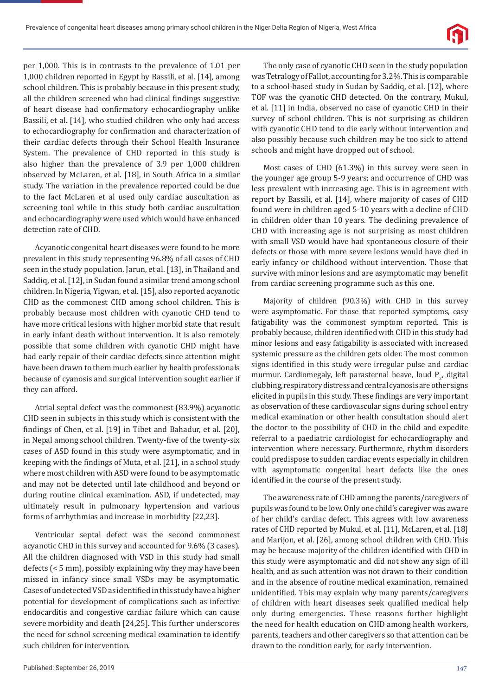per 1,000. This is in contrasts to the prevalence of 1.01 per 1,000 children reported in Egypt by Bassili, et al. [14], among school children. This is probably because in this present study, all the children screened who had clinical findings suggestive of heart disease had confirmatory echocardiography unlike Bassili, et al. [14], who studied children who only had access to echocardiography for confirmation and characterization of their cardiac defects through their School Health Insurance System. The prevalence of CHD reported in this study is also higher than the prevalence of 3.9 per 1,000 children observed by McLaren, et al. [18], in South Africa in a similar study. The variation in the prevalence reported could be due to the fact McLaren et al used only cardiac auscultation as screening tool while in this study both cardiac auscultation and echocardiography were used which would have enhanced detection rate of CHD.

Acyanotic congenital heart diseases were found to be more prevalent in this study representing 96.8% of all cases of CHD seen in the study population. Jarun, et al. [13], in Thailand and Saddiq, et al. [12], in Sudan found a similar trend among school children. In Nigeria, Yigwan, et al. [15], also reported acyanotic CHD as the commonest CHD among school children. This is probably because most children with cyanotic CHD tend to have more critical lesions with higher morbid state that result in early infant death without intervention. It is also remotely possible that some children with cyanotic CHD might have had early repair of their cardiac defects since attention might have been drawn to them much earlier by health professionals because of cyanosis and surgical intervention sought earlier if they can afford.

Atrial septal defect was the commonest (83.9%) acyanotic CHD seen in subjects in this study which is consistent with the findings of Chen, et al. [19] in Tibet and Bahadur, et al. [20], in Nepal among school children. Twenty-five of the twenty-six cases of ASD found in this study were asymptomatic, and in keeping with the findings of Muta, et al. [21], in a school study where most children with ASD were found to be asymptomatic and may not be detected until late childhood and beyond or during routine clinical examination. ASD, if undetected, may ultimately result in pulmonary hypertension and various forms of arrhythmias and increase in morbidity [22,23].

Ventricular septal defect was the second commonest acyanotic CHD in this survey and accounted for 9.6% (3 cases). All the children diagnosed with VSD in this study had small defects (< 5 mm), possibly explaining why they may have been missed in infancy since small VSDs may be asymptomatic. Cases of undetected VSD as identified in this study have a higher potential for development of complications such as infective endocarditis and congestive cardiac failure which can cause severe morbidity and death [24,25]. This further underscores the need for school screening medical examination to identify such children for intervention.

The only case of cyanotic CHD seen in the study population was Tetralogy of Fallot, accounting for 3.2%. This is comparable to a school-based study in Sudan by Saddiq, et al. [12], where TOF was the cyanotic CHD detected. On the contrary, Mukul, et al. [11] in India, observed no case of cyanotic CHD in their survey of school children. This is not surprising as children with cyanotic CHD tend to die early without intervention and also possibly because such children may be too sick to attend schools and might have dropped out of school.

Most cases of CHD (61.3%) in this survey were seen in the younger age group 5-9 years; and occurrence of CHD was less prevalent with increasing age. This is in agreement with report by Bassili, et al. [14], where majority of cases of CHD found were in children aged 5-10 years with a decline of CHD in children older than 10 years. The declining prevalence of CHD with increasing age is not surprising as most children with small VSD would have had spontaneous closure of their defects or those with more severe lesions would have died in early infancy or childhood without intervention. Those that survive with minor lesions and are asymptomatic may benefit from cardiac screening programme such as this one.

Majority of children (90.3%) with CHD in this survey were asymptomatic. For those that reported symptoms, easy fatigability was the commonest symptom reported. This is probably because, children identified with CHD in this study had minor lesions and easy fatigability is associated with increased systemic pressure as the children gets older. The most common signs identified in this study were irregular pulse and cardiac murmur. Cardiomegaly, left parasternal heave, loud  $P_{2}$ , digital clubbing, respiratory distress and central cyanosis are other signs elicited in pupils in this study. These findings are very important as observation of these cardiovascular signs during school entry medical examination or other health consultation should alert the doctor to the possibility of CHD in the child and expedite referral to a paediatric cardiologist for echocardiography and intervention where necessary. Furthermore, rhythm disorders could predispose to sudden cardiac events especially in children with asymptomatic congenital heart defects like the ones identified in the course of the present study.

The awareness rate of CHD among the parents/caregivers of pupils was found to be low. Only one child's caregiver was aware of her child's cardiac defect. This agrees with low awareness rates of CHD reported by Mukul, et al. [11], McLaren, et al. [18] and Marijon, et al. [26], among school children with CHD. This may be because majority of the children identified with CHD in this study were asymptomatic and did not show any sign of ill health, and as such attention was not drawn to their condition and in the absence of routine medical examination, remained unidentified. This may explain why many parents/caregivers of children with heart diseases seek qualified medical help only during emergencies. These reasons further highlight the need for health education on CHD among health workers, parents, teachers and other caregivers so that attention can be drawn to the condition early, for early intervention.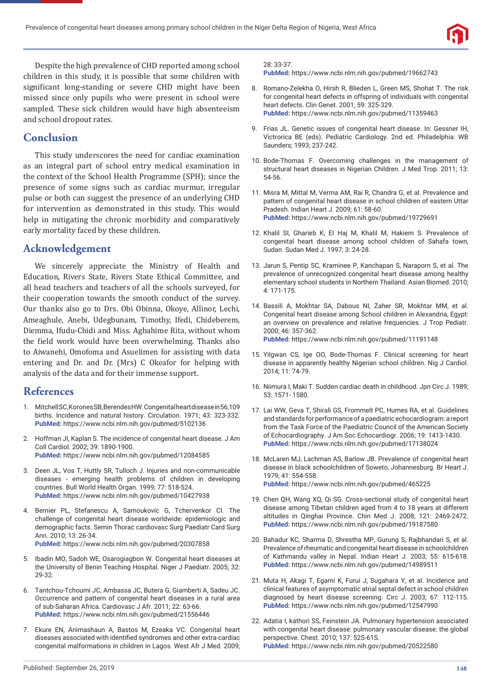

Despite the high prevalence of CHD reported among school children in this study, it is possible that some children with significant long-standing or severe CHD might have been missed since only pupils who were present in school were sampled. These sick children would have high absenteeism and school dropout rates.

## **Conclusion**

This study underscores the need for cardiac examination as an integral part of school entry medical examination in the context of the School Health Programme (SPH); since the presence of some signs such as cardiac murmur, irregular pulse or both can suggest the presence of an underlying CHD for intervention as demonstrated in this study. This would help in mitigating the chronic morbidity and comparatively early mortality faced by these children.

## **Acknowledgement**

We sincerely appreciate the Ministry of Health and Education, Rivers State, Rivers State Ethical Committee, and all head teachers and teachers of all the schools surveyed, for their cooperation towards the smooth conduct of the survey. Our thanks also go to Drs. Obi Obinna, Okoye, Allinor, Lechi, Ameaghule, Anebi, Udegbunam, Timothy, Ifedi, Chideberem, Diemma, Ifudu-Chidi and Miss. Agbahime Rita, without whom the field work would have been overwhelming. Thanks also to Aiwanehi, Omofoma and Asuelimen for assisting with data entering and Dr. and Dr. (Mrs) C Okeafor for helping with analysis of the data and for their immense support.

## **References**

- 1. Mitchell SC, Korones SB, Berendes HW. Congenital heart disease in 56,109 births. Incidence and natural history. Circulation. 1971; 43: 323-332. **PubMed:** https://www.ncbi.nlm.nih.gov/pubmed/5102136
- 2. Hoffman JI, Kaplan S. The incidence of congenital heart disease. J Am Coll Cardiol. 2002; 39: 1890-1900. **PubMed:** https://www.ncbi.nlm.nih.gov/pubmed/12084585
- 3. Deen JL, Vos T, Huttly SR, Tulloch J. Injuries and non-communicable diseases - emerging health problems of children in developing countries. Bull World Health Organ. 1999; 77: 518-524. **PubMed:** https://www.ncbi.nlm.nih.gov/pubmed/10427938
- 4. Bernier PL, Stefanescu A, Samoukovic G, Tchervenkor CI. The challenge of congenital heart disease worldwide: epidemiologic and demographic facts. Semin Thorac cardiovasc Surg Paediatr Card Surg Ann. 2010; 13: 26-34. **PubMed:** https://www.ncbi.nlm.nih.gov/pubmed/20307858
- 5. Ibadin MO, Sadoh WE, Osarogiagbon W. Congenital heart diseases at the University of Benin Teaching Hospital. Niger J Paediatr. 2005; 32: 29-32.
- 6. Tantchou-Tchoumi JC, Ambassa JC, Butera G, Giamberti A, Sadeu JC. Occurrence and pattern of congenital heart diseases in a rural area of sub-Saharan Africa. Cardiovasc J Afr. 2011; 22: 63-66. **PubMed:** https://www.ncbi.nlm.nih.gov/pubmed/21556446
- 7. Ekure EN, Animashaun A, Bastos M, Ezeaka VC. Congenital heart diseases associated with identified syndromes and other extra-cardiac congenital malformations in children in Lagos. West Afr J Med. 2009;

#### 28: 33-37.

**PubMed:** https://www.ncbi.nlm.nih.gov/pubmed/19662743

- 8. Romano-Zelekha O, Hirsh R, Blieden L, Green MS, Shohat T. The risk for congenital heart defects in offspring of individuals with congenital heart defects. Clin Genet. 2001; 59: 325-329. **PubMed:** https://www.ncbi.nlm.nih.gov/pubmed/11359463
- 9. Frias JL. Genetic issues of congenital heart disease. In: Gessner IH, Victrorica BE (eds). Pediatric Cardiology. 2nd ed. Philadelphia: WB Saunders; 1993; 237-242.
- 10. Bode-Thomas F. Overcoming challenges in the management of structural heart diseases in Nigerian Children. J Med Trop. 2011; 13: 54-56.
- 11. Misra M, Mittal M, Verma AM, Rai R, Chandra G, et al. Prevalence and pattern of congenital heart disease in school children of eastern Uttar Pradesh. Indian Heart J. 2009; 61: 58-60. **PubMed:** https://www.ncbi.nlm.nih.gov/pubmed/19729691
- 12. Khalil SI, Gharieb K, EI Haj M, Khalil M, Hakiem S. Prevalence of congenital heart disease among school children of Sahafa town, Sudan. Sudan Med J. 1997; 3: 24-28.
- 13. Jarun S, Pentip SC, Kraminee P, Kanchapan S, Naraporn S, et al. The prevalence of unrecognized congenital heart disease among healthy elementary school students in Northern Thailand. Asian Biomed. 2010; 4: 171-175.
- 14. Bassili A, Mokhtar SA, Dabous NI, Zaher SR, Mokhtar MM, et al. Congenital heart disease among School children in Alexandria, Egypt: an overview on prevalence and relative frequencies. J Trop Pediatr. 2000; 46: 357-362. **PubMed:** https://www.ncbi.nlm.nih.gov/pubmed/11191148
- 15. Yilgwan CS, Ige OO, Bode-Thomas F. Clinical screening for heart disease in apparently healthy Nigerian school children. Nig J Cardiol. 2014; 11: 74-79.
- 16. Niimura I, Maki T. Sudden cardiac death in childhood. Jpn Circ J. 1989; 53: 1571- 1580.
- 17. Lai WW, Geva T, Shirali GS, Frommelt PC, Humes RA, et al. Guidelines and standards for performance of a paediatric echocardiogram: a report from the Task Force of the Paediatric Council of the American Society of Echocardiography. J Am Soc Echocardiogr. 2006; 19: 1413-1430. **PubMed:** https://www.ncbi.nlm.nih.gov/pubmed/17138024
- 18. McLaren MJ, Lachman AS, Barlow JB. Prevalence of congenital heart disease in black schoolchildren of Soweto, Johannesburg. Br Heart J. 1979; 41: 554-558. **PubMed:** https://www.ncbi.nlm.nih.gov/pubmed/465225
- 19. Chen QH, Wang XQ, Qi SG. Cross-sectional study of congenital heart disease among Tibetan children aged from 4 to 18 years at different altitudes in Qinghai Province. Chin Med J. 2008; 121: 2469-2472. **PubMed:** https://www.ncbi.nlm.nih.gov/pubmed/19187580
- 20. Bahadur KC, Sharma D, Shrestha MP, Gurung S, Rajbhandari S, et al. Prevalence of rheumatic and congenital heart disease in schoolchildren of Kathmandu valley in Nepal. Indian Heart J. 2003; 55: 615-618. **PubMed:** https://www.ncbi.nlm.nih.gov/pubmed/14989511
- 21. Muta H, Akagi T, Egami K, Furui J, Sugahara Y, et al. Incidence and clinical features of asymptomatic atrial septal defect in school children diagnosed by heart disease screening. Circ J. 2003; 67: 112-115. **PubMed:** https://www.ncbi.nlm.nih.gov/pubmed/12547990
- 22. Adatia I, kathori SS, Feinstein JA. Pulmonary hypertension associated with congenital heart disease: pulmonary vascular disease: the global perspective. Chest. 2010; 137: 52S-61S. **PubMed:** https://www.ncbi.nlm.nih.gov/pubmed/20522580